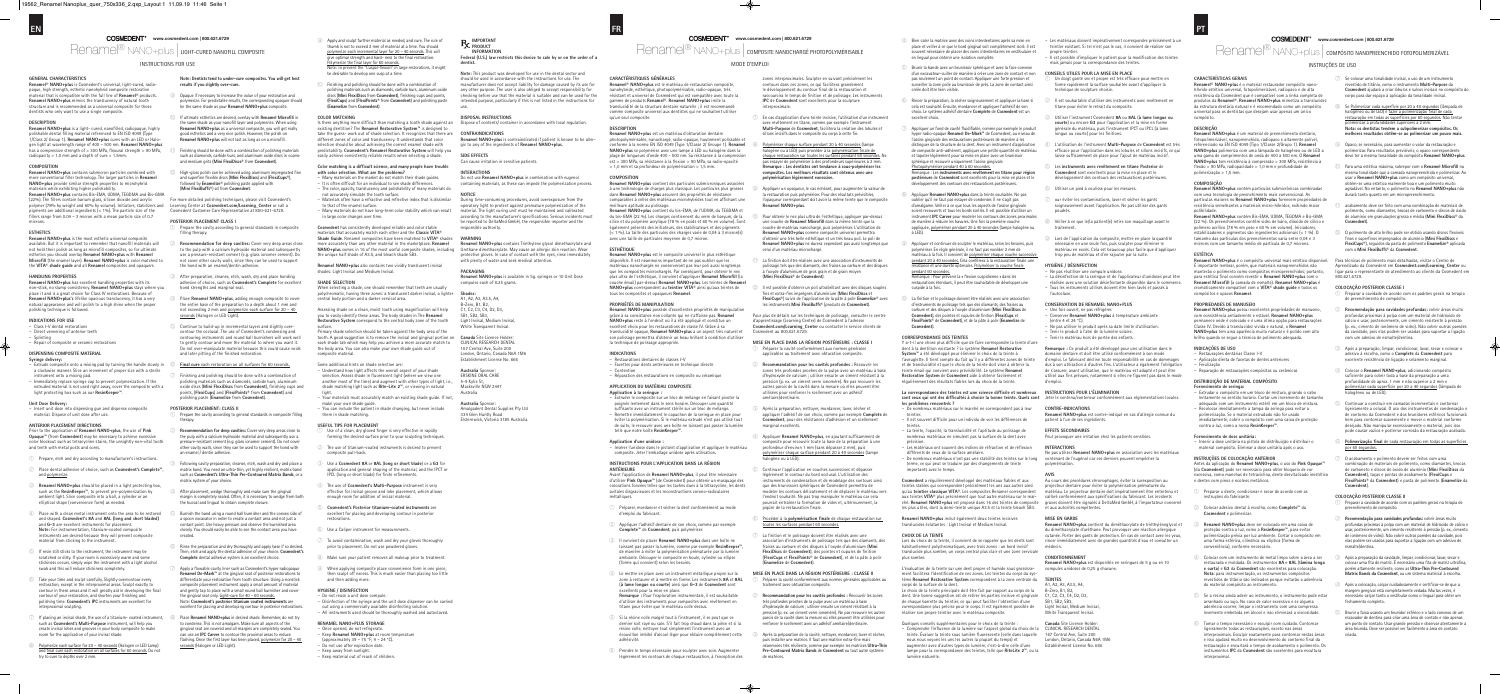## MODE D'EMPLOI

**www.cosmedent.com | 800.621.6729**

Renamel® nano+plus | composite nanochargé photopolymérisable

### **GENERAL CHARACTERISTICS**

**Renamel NANO+plus** is a light- cured, nanofilled, radiopaque, highly polishable dental filling material referenced to EN ISO 4049 (Type 1/Class 2/ Group 1). **Renamel NANO+plus** cures with an LED or Halogen light at wavelength range of 400 – 500 nm. **Renamel NANO+plus** has a compressive strength of > 300 MPa, flexural strength > 90 MPa, radiopacity  $> 1.0$  mm and a depth of cure  $> 1.5$ mm

**Renamel® NANO+plus** is Cosmedent's universal, light-cured, radiopaque, high strength, esthetic nanohybrid composite restorative material that is compatible with the full line of **Renamel®** products. **Renamel NANO+plus** mimics the translucency of natural tooth structure and is recommended as a universal composite for those dentists who only want to use a single composite.

**Renamel NANO+plus** contains submicron particles combined with more conventional filler technology. The larger particles in **Renamel NANO+plus** provide similar strength properties to microhybrid materials while exhibiting higher polishability. **Renamel NANO+plus** contains Bis-EMA, UDMA, TEGDMA and Bis-GMA (22%). The fillers contain barium glass, silicon dioxide and acrylic polymer (78% by weight and 60% by volume). Initiators, stabilizers and pigments are additional ingredients (< 1%). The particle size of the rs range from 0.04 – 3 micron with a mean particle size of 0.7

### **DESCRIPTION**

### microns. **ESTHETICS**

### **COMPOSITION**

**Renamel NANO+plus** has excellent handling properties with its non-stick, no slump consistency. **Renamel NANO+plus** stays where you place it and is a great choice for Class IV restorations. Because of **Renamel NANO+plus's** lifelike opacious translucency, it has a very natural appearance and will polish to a high shine when the prope polishing technique is follower

- Class I-V dental restoratio Direct veneering of anterior teeth
- Splinting Repair of composite or ceramic restorations
- 

**Renamel NANO+plus** is the most esthetic universal composite available. But it is important to remember that nanofill materials will not hold their polish as long as microfill composites, so for ultimate esthetics you should overlay **Renamel NANO+plus** with **Renamel Microfill** (the enamel layer). **Renamel NANO+plus** is color matched to the **VITA® shade guide** and all **Renamel** composites and opaquers.

### **HANDLING PROPERTIES**

### **INDICATIONS FOR USE**

### **DISPENSING COMPOSITE MATERIAL Syringe delivery:**

- 
- Extrude composite onto a mixing pad by turning the handle slowly in a clockwise manner. Slice an increment of proper size with a sterile instrument onto a mixing pad.
- Immediately replace syringe cap to prevent polymerization. If the extruded material is not used right away, cover the composite with a light protecting box such as our **ResinKeeper™**.

### **Unit Dose Delivery:**

– Insert unit dose into dispensing gun and dispense composite material. Dispose of unit dose after use.

### **ANTERIOR PLACEMENT DIRECTIONS**

Prior to the application of **Renamel NANO+plus**, the use of **Pink Opaque™** (from **Cosmedent**) may be necessary to achieve exces color blockout such as tetracycline stains, the unsightly non-vital tooth and teeth with metal posts and cores.

- $\Box$  Prepare, etch and dry according to manufacturer's instructions.
- ② Place dental adhesive of choice, such as **Cosmedent's Complete™**, and polymerize.
- ③ **Renamel NANO+plus** should be placed in a light protecting box, such as the **ResinKeeper™**, to prevent pre-polymerization by ambient light. Slice composite into a ball, a cylinder or an elliptical shape (convenience form) as needed.
- $\widehat{A}$  Place with a clean metal instrument onto the area to be restored and shaped. **Cosmedent's 8A** and **8AL (long and short bladed)** and **G-3** are excellent instruments for placement. **Note:** For instrumentation, titanium-coated composite increase and increase they will prevent composite are desired because they will prevent composit material from sticking to the instrument.
- ⑤ If resin still sticks to the instrument, the instrument may be scratched or dirty. If your room is excessively warm and some stickiness occurs, simply wipe the instrument with a light alcohol swab and this will reduce stickiness completely.
- ⑥ Take your time and sculpt carefully. Slightly overcontour every restoration, except in the interproximal areas. Sculpt exactly to contour in these areas and it will greatly aid in developing the final tion, and shorten your finishing an polishing time. **Cosmedent's IPC** instruments are excellent for proximal sculpting
- $\sqrt{2}$  If placing an incisal shade, the use of a titanium- coated instrument. such as **Cosmedent's Multi-Purpose** instrument, will help you create incisal lobes and grooves in your body composite to make room for the application of your incisal shade.
- ⑧ Polymerize each surface for 20 40 seconds (Halogen or LED Lamp) d final cure each restoration on all surfaces for 60 seconds. Do not try to cure to depths over 2 mm
- Prepare the cavity according to general standards in composite filling therapy.
- ② **Recommendation for deep cavities:** Cover very deep areas close to the pulp with a calcium hydroxide material and subsequently use a pressure-resistant cement (e.g. glass ionomer cement). Do not cover other cavity walls, since they can be used to support the bond with an enamel / dentin adhesive.
- Following cavity preparation, cleanse, etch, wash and dry and place a matrix band. You need an ultra-thin, yet highly resilient, matrix band such as **Cosmedent's Ultra-Thin Pre-Contoured Matrix Bands**, or a matrix system of your choice.
- After placement, wedge thoroughly and make sure the gingival margin is completely sealed. Often, it is necessary to wedge from both the buccal and lingual to obtain complete closure.
- ⑤ Burnish the band using a round ball burnisher and the convex side of a spoon excavator in order to create a contact area and not just a contact point. Use heavy pressure and observe the burnished area closely. You should easily be able to see the contact area you have created.
- Rinse the preparation and dry thoroughly and apply base if so desired. Then, etch and apply the dental adhesive of your choice. **Cosmedent's Complete** dental adhesive system is an excellent choice.
- Apply a flowable cavity liner such as Cosmedent's hyper radiopaque **Renamel De-Mark™** at the gingival seat of posterior restorations to ntiate your restoration from tooth structure. Using a nonstick composite placement instrument apply a small amount of material and gently tap to place with a small round ball burnisher and cover e gingival seat only. Light-cure for 40 – 60 seconds. Note: **Cosmedent's posterior titanium coated instruments** are excellent for placing and developing contour in posterior restorations
- Place **Renamel NANO+plus** in desired shade. Remember, do not try to condense. This is not amalgam. Make sure all aspects of the gingival seat are covered and all margins are completely sealed. You can use an **IPC Carver** to contour the proximal areas to reduce ashing. Once the first layer has been placed,  $\frac{1}{2}$  polymerize for 20 – 40 seconds (Halogen or LED Light).
- umb is not to exceed 2 mm of material at a time. You should polymerize each incremental layer for 20 – 40 seconds. This will ength and hard- ness to the final restoration. Polymerize the final layer for 60 seconds. To prevent the "Cuspal-flexion" in large restorations, it might be desirable to develop one cusp at a time.
- ⑩ Finishing and polishing should be done with a combination of polishing materials such as diamonds, carbide burs, aluminum oxide discs (**Mini FlexiDiscs** from **Cosmedent**), finishing cups and points, (**FlexiCups**) and (**FlexiPoints®** from **Cosmedent**) and polishing paste (**Enamelize** from **Cosmedent**).

Is there anything more difficult than matching a tooth shade against an existing dentition? The **Renamel Restorative System™** is designed to take the guess- work out of shade selection. It recognizes that there are different zones of color and translucency. It understands that color selection should be about achieving the correct enamel shade with predictability. **Cosmedent's Renamel Restorative System** will help you asily achieve consistently reliable results when selecting a shade

- **with color selection. What are the problems?** – Many materials on the market do not match their shade guides. – It is often difficult for an individual to see shade differences.
- e color, opacity, translucency and polishability of many materials do not accurately simulate the tooth surface.
- Materials often have a refractive and reflective index that is dissimilar to that of the enamel surface.
- Many materials do not have long-term color stability which can result in large color changes over time
- **Note: Dentists tend to under-cure composites. You will get best results if you slightly over-cure.**
- ⑨ Opaque if necessary to increase the value of your restoration and polymerize. For predictable results, the corresponding opaquer should be the same shade as your **Renamel NANO+plus** composite.
- ⑩ If ultimate esthetics are desired, overlay with **Renamel Microfill** in the same shade as your nanofill layer and polymerize. When using **Renamel NANO+plus** as a universal composite, you will get really good esthetics and a very nice polish. However, the polish on **Renamel NANO+plus** will not last as long as on a microfill.
- Finishing should be done with a combination of polishing materials such as diamonds, carbide burs, and aluminum oxide discs in coarse and medium grits (**Mini FlexiDiscs®** from **Cosmedent**).
- ⑫ High-gloss polish can be achieved using aluminum impregnated fine and superfine flexible discs (**Mini FlexiDiscs**) and (**FlexiCups®**), followed by **Enamelize®** polishing paste applied with (**Mini FlexiBuffs®**) all from **Cosmedent**.
- For more detailed polishing techniques, please visit Cosmedent's Learning Center at **Cosmedent.com/Learning\_Center** or call a Cosmedent Customer Care Representative at 800-621-6729.
- **POSTERIOR PLACEMENT CLASS l** Prepare the cavity according to general standards in composite filling therapy.
- ② **Recommendation for deep cavities:** Cover very deep areas close to the pulp with a calcium hydroxide material and subsequently use a pressure-resistant cement (e.g. glass ionomer cement). Do not cover other cavity walls, since they can be used to suppo the bond with an enamel/dentin adhesive.
- After preparation, cleanse, etch, wash, dry and place bonding adhesive of choice, such as **Cosmedent's Complete** for excellent bond strengths and marginal seal.
- ④ Place **Renamel NANO+plus**, adding enough composite to cover the entire base of the preparation to a depth about 1 mm and not exceeding 2 mm and polymerize each surface for 20 - 40 seconds (Halogen or LED Light)
- ⑤ Continue to build-up in incremental layers and slightly overontour the occlusal. The use of Cosmedent's condensing and contouring instruments and round ball burnishers will work well to gently contour and move the material to where you want it. Do not over-manipulate material because this could cause voids and later pitting of the finished restoration.
- **Final cure** each restoration on all surfaces for 60 seconds.
- Finishing and polishing should be done with a combination of polishing materials such as diamonds, carbide burs, aluminum oxide discs (**Mini FlexiDiscs** from **Cosmedent**), finishing cups and points, (**FlexiCups**) and (**FlexiPoints®** from **Cosmedent**) and polishing paste (**Enamelize** from **Cosmedent**).

Primary shade selection should be taken against the body area of the tooth. A good suggestion is to remove the incisal and gingival portion on **Canada** Site Licence Holder: each shade tab which may help you achieve a more accurate match to the body area. You can also make your own shade guide out of omposite material.

- Use of a clean, dry gloved finger is very effective in rapidly brming the desired surface prior to your sculpting techniques.
- The use of titanium-coated instruments is desired to prevent composite pull-back.
- ③ Use a **Cosmedent 8A** or **8AL** (**long or short blade**) or a **G3** for application and general shaping of the material, and the IPCT or IPCL (long or short blade) for finite refinements.
- ④ The use of **Cosmedent's Multi-Purpose** instrument is very effective for incisal groove and lobe placement, which allow enough room for addition of incisal material.
- ⑤ **Cosmedent's Posterior titanium-coated instruments** are excellent for placing and developing contour in posterior restorations.
- ⑥ Use a Caliper instrument for measurements.
- To avoid contamination, wash and dry your gloves thoroughly prior to placement. Do not use powdered glove
- **Make sure your patient removes all makeup prior to treatment**
- When applying composite place convenience form in one piece then sculpt off excess. This is much easier than placing too little and then adding more.

### **POSTERIOR PLACEMENT: CLASS II**

**Note:** This product was developed for use in the dental sector and should be used in accordance with the instructions for use. The manufacturer does not accept liability for damage caused by its use for any other purpose. The user is also obliged to accept responsibility for checking before use that the material is suitable and can be used for the ded purpose, particularly if this is not listed in the instructions for use.

**Shades:** A1, A2, A3, A3.5, A4, B-Zero, B1, B2, C1, C2, C3, C4, D2, D3,  $SB1$ ,  $SB2$ ,  $SB3$ 

**Renamel NANO+plus** est un matériau d'obturation dentaire photopolymérisable, nanochargé, radio-opaque, hautement polissable et conforme à la norme EN ISO 4049 (Type 1/Classe 2/ Groupe 1). **Renamel NANO+plus** se polymérise avec une lampe à LED ou halogène dans la plage de longueurs d'onde 400 - 500 nm. Sa résistance à la compressio est > 300 MPa, sa résistance à la flexion > 90 MPa, sa radio-opacité  $> 1.0$  mm et sa profondeur de polymérisation  $> 1.5$  mm.

**Renamel NANO+plus** possède d'excellentes propriétés de manipulation grâce à sa consistance non collante qui ne s'affaisse pas. **Renamel NANO+plus** reste à l'endroit où il a été appliqué et constitue un excellent choix pour les restaurations de classe IV. Grâce à sa translucidité opaque, **Renamel NANO+plus** a un aspect très naturel et son polissage permettra d'obtenir un beau brillant à condition d'utiliser la technique de polissage appropriée.

INSTRUCTIONS FOR USE

### **COLOR MATCHING**

④ Le mettre en place avec un instrument métallique propre sur la zone à restaurer et à mettre en forme. Les instruments **8A** et **8AL** (**à lame longue ou courte**) ainsi que **G-3** de **Cosmedent** sont our la mise en place

## **Color matching is a difficult science, and many people have trouble**

**Cosmedent** has consistently developed reliable and color stable materials that accurately match each other and the **Classic VITA® Shade Guide**. Renamel composites have been matched to **VITA®** shades rately than any other material in the marketplace. **Renamel NANO+plus** comes in 16 of the most useful composite shades, including the unique half shade of A3.5, and bleach shade SB3.

**Renamel NANO+plus** also contains two vividly translucent incisal shades: Light Incisal and Medium Incisal.

- En cas d'application d'une teinte incisive, l'utilisation d'un instrumer vec revêtement en titane, comme par exemple l'instrument **Multi-Purpose** de **Cosmedent**, facilitera la création des lobules et sillons incisifs dans le composite du corps à cette fin.
- Polymériser chaque surface pendant 20 à 40 secondes (lampe alogène ou à LED) puis procéder à la polymérisation finale de chaque restauration sur toutes les surfaces pendant 60 secondes. Ne pas essayer de polymériser à des profondeurs supérieures à 2 mm. **Remarque : Les dentistes ont tendance à sous-polymériser les composites. Les meilleurs résultats sont obtenus avec une polymérisation légèrement excessive.**
- oliquer un opaqueur, le cas échéant, pour augmenter la valeur de a restauration puis polymériser. Pour des résultats prévisibles l'opaqueur correspondant doit avoir la même teinte que le composite **Renamel NANO+plus**.
- ⑩ Pour obtenir le nec plus ultra de l'esthétique, appliquer par-dessus une couche de **Renamel Microfill** dans la même teinte que la couche de matériau nanochargé, puis polymériser. L'utilisation de **Renamel NANO+plus** comme composite universel permettra d'obtenir une très belle esthétique et un très beau poli. Le poli de **Renamel NANO+plus** ne durera cependant pas aussi longte celui d'un matériau microchargé.
- ⑪ La finition doit être réalisée avec une association d'instruments de polissage tels que des diamants, des fraises au carbure et des disques à l'oxyde d'aluminium de gros grain et de grain moyen (**Mini FlexiDiscs®** de **Cosmedent**).
- Il est possible d'obtenir un poli ultrabrillant avec des disques souple fins et extra-fins imprégnés d'aluminium (**Mini FlexiDiscs** et **FlexiCups®**) suivis de l'application de la pâte à polir **Enamelize®** avec les instruments **Mini FlexiBuffs®** (produits de **Cosmedent**).

### **SHADE SELECTION**

When selecting a shade, one should remember that teeth are usually olychromatic, having three zones: a translucent darker incisal, a lighter central body portion and a darker cervical area.

Assessing shade on a clean, moist tooth using magnification will help you to easily identify these areas. The body shades in The **Renamel Restorative System** correspond to the central body zone of the tooth surface.

### Some additional hints on shade selection are:

- Understand how light affects the overall aspect of your shade selection. Assess shade in fluorescent light (where we view one another most of the time) and augment with other types of light, i.e., shade matching light such as **Rite-Lite 2™**, or viewing in natural light.
- Your materials must accurately match an existing shade guide. If not, make your own shade guide.
- You can include the patient in shade changing, but never include them in shade matching.

### **USEFUL TIPS FOR PLACEMENT**

### **HYGIENE / DISINFECTION**

- not reuse a unit dose compule – Disinfection of the syringe and the unit dose dispenser can be carried
- out using a commercially available disinfecting solutio Instruments used should be thoroughly washed and autoclaved.

### **RENAMEL NANO+PLUS STORAGE**

- Once opened, do not refrigerate. – Keep **Renamel NANO+plus** at room temperature approximately  $39 - 75$  °F;  $4 - 24$  °C).
- Do not use after expiration date. – Keep away from sunlight.
- Keep material out of reach of children.

### **IMPORTANT**

#### **PRODUCT INFORMATION**

**Federal (U.S.) law restricts this device to sale by or on the order of a dentist.**

> Antes da aplicação do **Renamel NANO+plus**, o uso do **Pink Opaque™** (da **Cosmedent**) pode ser necessário para obter bloqueio de cor excessiva, como manchas de tetraciclina, dente desvitalizado inestético e dentes com pinos e núcleos metá

### **DISPOSAL INSTRUCTIONS**

Dispose of contents/ container in accordance with local regulation.

#### **CONTRAINDICATIONS Renamel NANO+plus** is contraindicated if patient is known to be aller-

gic to any of the ingredients of **Renamel NANO+plus**.

**SIDE EFFECTS**

**INTERACTIONS** 

Can cause irritation in sensitive patients.

Do not use **Renamel NANO+plus** in combination with eugenol containing materials, as these can impede the polymerization process.

**NOTICE** During time-consuming procedures, avoid overexposure from the operatory light to protect against premature polymerization of the material. The light curing unit must be maintained and calibrated ccording to the manufacturer's specifications. Serious incidents mus be reported to DeltaMed GmbH, the responsible importer and the

responsible authority.

**WARNING**

**Renamel NANO+plus** contains Triethylene glycol dimethacrylate and Urethane dimethacrylate. May cause an allergic skin reaction. Wear protective gloves. In case of contact with the eyes, rinse immediately

**PACKAGING**

**Renamel NANO+plus** is available in 5g. syringes or 10 Unit Dose

with plenty of water and seek medical attentic

compules each of 0.25 grams.

Light Incisal, Medium Incisal, White Transparent Incisal.

- Se colocar uma tonalidade incisal, o uso de um instrumento revestido de titânio, como o instrumento **Multi-Purpose** da **Cosmedent** ajudará a criar lóbulos e sulcos incisais no compósito do corpo para dar espaço à aplicação da tonalidade incisal.
- Se Polimerizar cada superfície por 20 a 40 segundos (lâmpada de halogêneo ou de LED) e fazer a polimerização final de cada restauração em todas as superfícies por 60 segundos. Não tentar nerizar a profundidades superiores a 2 mm **Nota: os dentistas tendem a subpolimerizar compósitos. Os melhores resultados obtêm-se ao polimerizar um pouco mais.**
- ⑨ Opaco, se necessário, para aumentar o valor da restauração e polimerizar. Para resultados previsíveis, o opaco correspondent deve ter a mesma tonalidade do compósito **Renamel NANO+plus**.
- ⑩ Para uma estética máxima, sobrepor com o **Renamel Microfill** na mesma tonalidade que a camada nanopreenchida e polimerizar. Ao usar o **Renamel NANO+plus** como um compósito universal, obtém-se uma estética realmente boa e um polimento muito agradável. No entanto, o polimento no **Renamel NANO+plus** não durará tanto quanto em um micropreench
- acabamento deve ser feito com uma combinação de materiais de polimento, como diamantes, brocas de carboneto e discos de óxido de alumínio em granulações grossa e média (**Mini FlexiDiscs®** da **Cosmedent**).
- ⑫ O polimento de alto brilho pode ser obtido usando discos flexíveis finos e superfinos impregnados de alumínio (**Mini FlexiDiscs** e **FlexiCups®**), seguidos da pasta de polimento **Enamelize®** aplicada com o **Mini FlexiBuffs®** da **Cosmedent**.

CLINICAL RESEARCH DENTAL 167 Central Ave, Suite 200 London, Ontario, Canada N6A 1M6 Establishment License No. 666

**Australia** Sponsor: ERSKINE ORAL CARE 5-9 Kylie St, Macksville NSW 2447 Australia **Australia** Sponsor:

Amalgadent Dental Supplies Pty Ltd

nwick. Victoria 3185 Australia

334 Glen Huntly Road

### **CARACTÉRISTIQUES GÉNÉRALES**

**Renamel® NANO+plus** est le matériau de restauration composite, nanohybride, esthétique, photopolymérisable, radio-opaque, très résistant et universel de Cosmedent qui est compatible avec toute la gamme de produits **Renamel®**. **Renamel NANO+plus** imite la translucidité de la structure dentaire naturelle ; il est recommande comme composite universel aux dentistes qui ne souhaitent utiliser qu'un seul composite.

### **DESCRIPTION**

- Preparar a cavidade de acordo com os padrões gerais na terapia de preenchimento de compósito.
- ② **Recomendação para cavidades profundas:** cobrir áreas muito profundas próximas à polpa com um material de hidróxido de cálcio e usar, posteriormente, um cimento resistente à pressão (p. ex., cimento de ionômero de vidro). Não cobrir outras paredes da cavidade, pois elas podem ser usadas para suportar a ligação com um adesivo de esmalte/dentina.
- ③ Após a preparação, limpar, condicionar, lavar, secar e colocar o adesivo à escolha, como o **Complete** da **Cosmedent** para excelente resistência de ligação e selamento marginal.
- ④ Colocar o **Renamel NANO+plus**, adicionando compósito suficiente para cobrir toda a base da preparação a uma profundidade de aprox. 1 mm e não superior a 2 mm e polimerizar cada superfície por 20 a 40 segundos (lâmpada de halogêneo ou de LED).
- ⑤ Continuar a construir em camadas incrementais e contornar ligeiramente a oclusal. O uso dos instrumentos de condensação e de contorno da Cosmedent e dos brunidores esféricos funcionará bem para contornar suavemente e mover o material conforme desejado. Não manipular excessivamente o material, pois isso pode causar vazios e posterior corrosão da restauração acabada.
- ⑥ **Polimerização final** de cada restauração em todas as superfícies por 60 segundos.
- ⑦ O acabamento e polimento devem ser feitos com uma combinação de materiais de polimento, como diamantes, brocas de carboneto e discos de óxido de alumínio (**Mini FlexiDiscs** da **Cosmedent**), taças e pontas de acabamento (**FlexiCups** e **FlexiPoints®** da **Cosmedent**) e pasta de polimento (**Enamelize** da **Cosmedent**).

### **COMPOSITION**

**Renamel NANO+plus** contient des particules submicroniques associées à une technologie de charges plus classique. Les particules plus grosses dans **Renamel NANO+plus** assurent des propriétés de résistance comparables à celles des matériaux microhybrides tout en affichant une meilleure aptitude au polissage.

- ④ Bien caler la matrice avec des coins interdentaires après sa mise en **www.cosmedent.com | 800.621.6729** – Les matériaux doivent impérativement correspondre précisément à un teintier existant. Si tel n'est pas le cas, il convient de réaliser son propre teintier.
	- Il est possible d'impliquer le patient pour la modification des teintes mais jamais pour la correspondance des teinte

**Renamel NANO+plus** contient du bis-EMA, de l'UDMA, du TEGDMA et du bis-GMA (22 %). Les charges contiennent du verre de baryum, de la silice et du polymère acrylique (78 % en poids et 60 % en volume). Sont également présents des initiateurs, des stabilisateurs et des pigments (< 1 %). La taille des particules des charges varie de 0,04 à 3 micron(s) avec une taille de particules moyenne de 0,7 micron.

### **ESTHÉTIQUE**

**Renamel NANO+plus** est le composite universel le plus esthétique onible. Il est néanmoins important de ne pas oublier que les matériaux nanochargés ne conserveront pas leur poli aussi longtemps que les composites microchargés. Par conséquent, pour obtenir le ne plus ultra de l'esthétique, il convient d'appliquer **Renamel Microfill** (la couche émail) par-dessus **Renamel NANO+plus**. Les teintes de **Renamel NANO+plus** correspondent au **teintier VITA®** ainsi qu'aux teintes de tous les composites et opaqueurs **Renamel**.

### **PROPRIÉTÉS DE MANIPULATION**

### **INDICATIONS**

– Restaurations dentaires de classes I-V – Facettes pour dents antérieures en technique directe

– Contention – Réparation des restaurations en composite ou céramique

### **APPLICATION DU MATÉRIAU COMPOSITE**

**Application à la seringue :** – Extruder le composite sur un bloc de mélange en faisant pivoter la poignée lentement dans le sens horaire. Découper une quantité suffisante avec un instrument stérile sur un bloc de mélange. – Remettre immédiatement le capuchon de la seringue en place pour éviter la polymérisation. Si le matériau extrudé n'est pas utilisé tout de suite, le recouvrir avec une boîte ne laissant pas passer la lumière telle que notre boîte **ResinKeeper™**.

#### **Application d'une unidose :**

**Cosmedent** a régulièrement développé des matériaux fiables et aux teintes stables qui correspondent précisément les uns aux autres ainsi qu'au **teintier classique VITA®**. Les composites Renamel correspondent aux teintes **VITA®** plus précisément que tout autre matériau sur le marché. **Renamel NANO+plus** est proposé dans 16 des teintes de composite es plus utiles, dont la demi-teinte unique A3.5 et la teinte bleach SB3.

– Insérer l'unidose dans le pistolet d'application et appliquer le matériau composite. Jeter l'emballage unidose après utilisation**.**

#### **INSTRUCTIONS POUR L'APPLICATION DANS LA RÉGION ANTÉRIEURE**

Avant l'application de **Renamel NANO+plus**, il peut être nécessaire d'utiliser **Pink Opaque™** (de Cosmedent) pour obtenir un masquage des colorations foncées telles que les taches dues à la tétracycline, les dents avitales disgracieuses et les reconstructions corono-radiculaires métalliques.

#### L'évaluation de la teinte sur une dent propre et humide sous grossiss ment facilitera l'identification de ces zones. Les teintes du corps du système **Renamel Restorative System** correspondent à la zone centrale du corps de la surface de la dent.

① Préparer, mordancer et sécher la dent conformément au mode d'emploi du fabricant.

② Appliquer l'adhésif dentaire de son choix, comme par exemple **Complete™** de **Cosmedent**, puis polymériser.

③ Il convient de placer **Renamel NANO+plus** dans une boîte ne laissant pas passer la lumière, comme par exemple ResinKeeper de manière à éviter la polymérisation prématurée par la lumière ambiante. Découper le composite en boule, cylindre ou ellipse (forme qui convient) selon les besoins.

**Remarque :** Pour l'exploration instrumentale, il est souhaitable d'utiliser des instruments pour composites avec revêtement en titane pour éviter que le matériau colle dessus.

⑤ Si la résine colle malgré tout à l'instrument, il se peut que ce ier soit rayé ou sale. S'il fait trop chaud dans la pièce et si la résine colle, nettoyer tout simplement l'instrument avec un écouvillon imbibé d'alcool léger pour réduire complètement cette adhésivité.

⑥ Prendre le temps nécessaire pour sculpter avec soin. Augmenter légèrement les contours de chaque restauration, à l'exception des

- Un doigt ganté sec et propre est très efficace pour mettre en forme rapidement la surface souhaitée avant d'appliquer la technique de sculpture choisie.
- Il est souhaitable d'utiliser des instruments avec revêtement en titane pour éviter le retrait du composite.
- ③ Utiliser l'instrument Cosmedent **8A** ou **8AL** (**à lame longue ou courte**) ou encore **G3** pour l'application et la mise en forme générale du matériau, puis l'instrument IPCT ou IPCL (à lame longue ou courte) pour les finitions.
- ④ L'utilisation de l'instrument **Multi-Purpose** de **Cosmedent** est très efficace pour l'application dans les lobules et sillons incisifs, ce qui laisse suffisamment de place pour l'ajout de matériau incisif.
- ⑤ Les **instruments avec revêtement en titane Posterior** de **Cosmedent** sont excellents pour la mise en place et le développement des contours des restaurations post
- Utiliser un pied à coulisse pour les mes
- our éviter les contaminations, laver et sécher les gants soigneusement avant l'application. Ne pas utiliser des gants poudrés.
- Veiller à ce que le/la patient(e) retire son maquillage avant le traiteme
- Lors de l'application du composite, mettre en place la quantité nécessaire en une seule fois, puis sculpter pour éliminer le matériau en excès. Cela est beaucoup plus facile que d'appliquer trop peu de matériau et d'en rajouter par la suite.

zones interproximales. Sculpter en suivant précisément les contours dans ces zones, ce qui facilitera grandement le développement du contour final de la restauration et urcira le temps de finition et de polissage. Les instruments **IPC** de **Cosmedent** sont excellents pour la sculpture interproximale.

- Une fois ouvert, ne pas réfrigérer. – Conserver **Renamel NANO+plus** à température ambiante (entre 4 et 24 °C).
- Ne pas utiliser le produit après sa date limite d'utilisation. – Tenir le produit à l'abri de la lumière solaire.
- Tenir le matériau hors de portée des enfants.

dus à son utilisation à d'autres fins. L'utilisateur a également l'obligati de s'assurer, avant utilisation, que le matériau est adapté et peut être utilisé aux fins prévues, notamment si elles ne figurent pas dans le mod d'emploi.

neur conformément aux réglementations locales.

Peut provoquer une irritation chez les patients sensible **INTERACTIONS** Ne pas utiliser **Renamel NANO+plus** en association avec les matériaux

Light Incisal, Medium Incisal, Transparent Incisal

Pour plus de détails sur les techniques de polissage, consulter le centre d'apprentissage (Learning Center) de Cosmedent à l'adresse **Cosmedent.com/Learning\_Center** ou contacter le service clients de Cosmedent au 800.621.6729.

- **MISE EN PLACE DANS LA RÉGION POSTÉRIEURE : CLASSE I** réparer la cavité conformément aux normes générales applicables au traitement avec obturation composite.
- ② **Recommandation pour les cavités profondes :** Recouvrir les zones très profondes proches de la pulpe avec un matériau à base d'hydroxyde de calcium ; utiliser ensuite un ciment résistant à la pression (p. ex. un ciment verre ionomère). Ne pas recouvrir les autres parois de la cavité dans la mesure où elles peuvent être utilisées pour renforcer le scellement avec un adhésif amélaire/dentinaire.
- ③ Après la préparation, nettoyer, mordancer, laver, sécher et appliquer l'adhésif de son choix, comme par exemple **Complete** de Cosmedent, pour des résistances d'adhésion et un scelle marginal excellents.
- ④ Appliquer **Renamel NANO+plus**, en ajoutant suffisamment de composite pour recouvrir toute la base de la préparation à une profondeur d'environ 1 mm (sans dépasser 2 mm), puis polymériser chaque surface pendant 20 à 40 secondes (lampe halogène ou à LED).
- ⑤ Continuer l'application en couches successives et dépasser légèrement le contour du bord occlusal. L'utilisation des nents de condensation et de modelage des con que des brunissoirs sphériques de Cosmedent permettra de modeler les contours délicatement et de déplacer le matériau vers endroit souhaité. Ne pas trop manipuler le matériau car cela pourrait entraîner la formation de vides et, ultérieurement, la piqûre de la restauration finale.
- ⑥ Procéder à la **polymérisation finale** de chaque restauration sur toutes les surfaces pendant 60 secondes.
- La finition et le polissage doivent être réalisés avec une association d'instruments de polissage tels que des diamants, de fraises au carbure et des disques à l'oxyde d'aluminium (**Mini** FlexiDiscs de Cosmedent), des pointes et cupules de finition (**FlexiCups** et **FlexiPoints®** de **Cosmedent**), et de la pâte à polir (**Enamelize** de **Cosmedent**).
- **MISE EN PLACE DANS LA RÉGION POSTÉRIEURE : CLASSE II** arer la cavité conformément aux normes général traitement avec obturation composite.
- ② **Recommandation pour les cavités profondes :** Recouvrir les zones très profondes proches de la pulpe avec un matériau à base d'hydroxyde de calcium ; utiliser ensuite un ciment résistant à la pression (p. ex. un ciment verre ionomère). Ne pas recouvrir les autres parois de la cavité dans la mesure où elles peuvent être utilisées pour cer le scellement avec un adhésif amélaire/dentinaire
- Après la préparation de la cavité, nettoyer, mordancer, laver et sécher, puis installer une matrice. Il faut une matrice extra-fine mais moins très résiliente, comme par exemple les matrices Ultra-Thir **Pre-Contoured Matrix Bands** de **Cosmedent** ou tout autre système de matrices.

### **CARACTERÍSTICAS GERAIS**

**Renamel® NANO+plus** é o material restaurador compósito nanohíbrido estético universal, fotopolimerizável, radiopaco e de alta resistência da Cosmedent que é compatível com a linha completa de produtos da **Renamel®**. **Renamel NANO+plus** mimetiza a translucidez da estrutura dentária natural e é recomendado como um compósito universal para os dentistas que desejam usar apenas um único

compósito. **DESCRIÇÃO**

**COMPOSIÇÃO**

polibilidade.

- **Renamel NANO+plus** é um material de preenchimento dentário, fotopolimerizável, nanopreenchido, radiopaco e altamente polível, referenciado na EN ISO 4049 (Tipo 1/Classe 2/Grupo 1). **Renamel NANO+plus** polimeriza com uma lâmpada de halogêneo ou de LED a uma gama de comprimentos de onda de 400 a 500 nm. O **Renamel NANO+plus** tem resistência à compressão > 300 MPa, resistência à flexão > 90 MPa, radiopacidade > 1,0 mm e profundidade de limerização > 1,5 mm
- **Renamel NANO+plus** contém partículas submicrônicas combi<br>com uma tecnologia de preenchimento mais convencional. As com uma tecnologia de preenc partículas maiores no **Renamel NANO+plus** fornecem propriedades de resistência semelhantes a materiais micro-híbridos, exibindo maior
- **Renamel NANO+plus** contém Bis-EMA, UDMA, TEGDMA e Bis-GMA (22 %). Os preenchimentos contêm vidro de bário, dióxido de silício e polímero acrílico (78 % em peso e 60 % em volume). Iniciadores, hilizadores e pigmentos são ingredientes adicionais (< 1 %). O tamanho das partículas dos preenchimentos varia entre 0,04 e 3 mícrons com um tamanho médio de partícula de 0,7 mícrons.
- **Renamel NANO+plus** é o compósito universal mais estético disponível. É importante lembrar, porém, que materiais nanopreenchidos não manterão o polimento como compósitos micropreenchidos; portanto, para estética final convém revestir o **Renamel NANO+plus** com o **Renamel Microfill** (a camada de esmalte). **Renamel NANO+plus** é cromaticamente compatível com o **VITA® shade guide** e todos os compósitos e opacos **Renamel**.

**ESTÉTICA**

### **PROPRIEDADES DE MANUSEIO**

**Renamel NANO+plus** possui excelentes propriedades de manuseio, com consistência antiaderente e estável. **Renamel NANO+plus** permanece onde é colocado e é uma ótima opção para restaurações Classe IV. Devido à translucidez vívida e natural, o **Renamel NANO+plus** tem uma aparência muito natural e é polido com alto brilho quando se segue a técnica de polimento adequada.

**INDICAÇÕES DE USO**

- Restaurações dentárias Classe I-V – Aplicação direta de facetas de dentes anteriores
- Reparação de restaurações compósitas ou cerâmicas

– Ferulização

### **DISTRIBUIÇÃO DE MATERIAL COMPÓSITO**

### **Fornecimento de seringa:**

– Extrudar o compósito em um bloco de mistura, girando o cabo lentamente no sentido horário. Cortar um incremento de tamanho adequado com um instrumento estéril em um bloco de mistura. – Recolocar imediatamente a tampa da seringa para evitar a polimerização. Se o material extrudado não for usado imediatamente, cobrir o compósito com uma caixa de proteção contra a luz, como a nossa **ResinKeeper™**.

### **Fornecimento de dose unitária:**

– Inserir a dose unitária na pistola de distribuição e distribuir o material compósito. Eliminar a dose unitária após o uso.

### **INSTRUÇÕES DE COLOCAÇÃO ANTERIOR**

- ① Preparar o dente, condicionar e secar de acordo com as nstruções do fabricante.
- ② Colocar adesivo dental à escolha, como **Complete™** da **Cosmedent** e polimerizar.
- ③ **Renamel NANO+plus** deve ser colocado em uma caixa de proteção contra a luz, como a **ResinKeeper™**, para evitar polimerização prévia por luz ambiente. Cortar o compósito em uma forma esférica, cilíndrica ou elíptica (forma de conveniência), conforme necessário.
- ④ Colocar com um instrumento de metal limpo sobre a área a ser restaurada e moldada. Os instrumentos **8A** e **8AL** (**lâmina longa e curta**) e **G3** da **Cosmedent** são excelentes para colocação. **Nota**: para instrumentação, os instrumentos compósitos estidos de titânio são indicados porque evitarão a aderência do material compósito ao instrumento.
- ⑤ Se a resina ainda aderir ao instrumento, o instrumento pode estar arranhado ou sujo. No caso de calor excessivo e se alguma aderência ocorrer, limpar o instrumento com uma compressa levemente embebida em álcool e isso eliminará a viscosidade.
- ⑥ Tomar o tempo necessário e esculpir com cuidado. Contornar ligeiramente todas as restaurações, exceto nas áreas interproximais. Esculpir exatamente para contornar nestas áreas e isso ajudará muito no desenvolvimento do contorno final da restauração e encurtará o tempo de acabamento e polimento. Os instrumentos **IPC** da **Cosmedent** são excelentes para escultura

interproximal.

Para técnicas de polimento mais detalhadas, visitar o Centro de Aprendizado da Cosmedent em **Cosmedent.com/Learning\_Center** ou ligar para o representante de atendimento ao cliente da Cosmedent em 800.621.6729.

### **COLOCAÇÃO POSTERIOR CLASSE I**

### **COLOCAÇÃO POSTERIOR CLASSE II**

- ① Preparar a cavidade de acordo com os padrões gerais na terapia de preenchimento de compósito.
- ② **Recomendação para cavidades profundas:** cobrir áreas muito profundas próximas à polpa com um material de hidróxido de cálcio e usar, posteriormente, um cimento resistente à pressão (p. ex., cimento de ionômero de vidro). Não cobrir outras paredes da cavidade, pois elas podem ser usadas para suportar a ligação com um adesivo de esmalte/dentina.
- Após a preparação da cavidade, limpar, condicionar, lavar, secar e colocar uma fita de matriz. É necessário uma fita de matriz ultrafina, porém altamente resiliente, como as **Ultra-Thin Pre-Contoured Matrix Bands da Cosmedent**, ou um sistema matricial à escolha.
- ④ Após a colocação, calçar cuidadosamente e certificar-se de que a margem gengival está completamente vedada. Muitas vezes, é necessário calçar tanto o vestibular como o lingual para obter um fechamento completo.
- Brunir a faixa usando um brunidor esférico e o lado convexo de un escavador de dentina para criar uma área de contato e não apenas um ponto de contato. Usar grande pressão e observar atentamente a área brunida. Deve ser possível ver facilmente a área de contato criada.

### INSTRUÇÕES DE USO

- place et veiller à ce que le bord gingival soit complètement isolé. Il est souvent nécessaire de placer des coins interdentaires en vestibulaire et lingual pour obtenir une isolation complète
- $\circ$  Brunir la bande avec un brunissoir sphérique et avec la face convexe d'un excavateur-cuiller de manière à créer une zone de contact et non pas seulement un point de contact. Appliquer une forte pression et surveiller la zone polie au brunissoir de près. La zone de contact ainsi créée doit être bien visible.
- Rincer la préparation, la sécher soigneusement et appliquer la base si cela est souhaité. Ensuite, mordancer et appliquer l'adhésif de son choix. Le système adhésif dentaire **Complete** de **Cosmedent** est un excellent choix.
- Appliquer un fond de cavité fluidifiable, comme par exemple le produit hyper radio-opaque **Renamel De-Mark™** de Cosmedent, au niveau de l'assise gingivale des restaurations postérieures de manière à les distinguer de la structure de la dent. Avec un instrument d'application de composite anti-adhérent, appliquer une petite quantité de matériau et tapoter légèrement pour sa mise en place avec un brunissoi sphérique et recouvrir uniquement l'assise gingivale. Photopolymériser pendant 40 à 60 secondes. Remarque : Les **instruments avec revêtement en titane pour région postérieure** de **Cosmedent** sont excellents pour la mise en place et le développement des contours des restaurations postérieures.
- ⑧ Appliquer **Renamel NANO+plus** dans la teinte souhaitée. Ne pas oublier qu'il ne faut pas essayer de condenser. Il ne s'agit pas d'amalgame. Veiller à ce que tous les aspects de l'assise gingivale soient recouverts et tous les bords scellés. Il est possible d'utiliser un ument **IPC Carver** pour modeler les contours des zones proximale de manière à réduire les bavures. Une fois la première couche appliquée, polymériser pendant 20 à 40 secondes (lampe halogène ou à LED).
- ⑨ Appliquer et continuer de sculpter le matériau, selon les besoins, puis polymériser. En règle générale, il ne faut pas excéder 2 mm de matériau à la fois. Il convient de <u>polymériser chaque couche successive</u><br><u>pendant 20 à 40 secondes.</u> Cela conférera à la restauration finale une ésistance et une dureté optimales. Polymériser la couche finale pendant 60 secondes. Remarque : Pour prévenir la « flexion cuspidienne » dans les restaurations étendues, il peut être souhaitable de développer une cuspide à la fois.
- ⑩ La finition et le polissage doivent être réalisés avec une association d'instruments de polissage tels que des diamants, des fraises au carbure et des disques à l'oxyde d'aluminium (**Mini FlexiDiscs** de **Cosmedent**), des pointes et cupules de finition (**FlexiCups** et **FlexiPoints®** de **Cosmedent**), et de la pâte à polir (**Enamelize** de **Cosmedent**).

### **CORRESPONDANCE DES TEINTES**

Y a-t-il une chose plus difficile que de faire correspondre la teinte d'une dent à la dentition existante ? Le système **Renamel Restorative System™** a été développé pour éliminer le choix de la teinte à l'aveuglette. Il tient compte du fait qu'il y a différentes zones de teinte et de translucidité et que le choix de la teinte doit viser à obtenir la einte émail qui convient avec prévisibilité. Le système Renamel **Restorative System** de **Cosmedent** aide à obtenir facilement et régulièrement des résultats fiables lors du choix de la teinte.

#### **La correspondance des teintes est une science difficile et nombreux INSTRUCTIONS POUR L'ÉLIMINATION sont ceux qui ont des difficultés à choisir la bonne teinte. Quels sont les problèmes rencontrés ?**

- De nombreux matériaux sur le marché ne correspondent pas à leur teintier.
- Il est souvent difficile pour un individu de voir les différences de
- teintes. – La teinte, l'opacité, la translucidité et l'aptitude au polissage de nombreux matériaux ne simulent pas la surface de la dent avec
- précision. .<br>Les matériaux ont souvent des indices de réfraction et de réflexion
- différents de ceux de la surface amélaire.
- De nombreux matériaux n'ont pas une stabilité des teintes sur le long terme, ce qui peut se traduire par des changements de teinte importants avec le temps.

**Renamel NANO+plus** inclut également deux teintes incisives translucides éclatantes : Light Incisal et Medium Incisal.

#### **CHOIX DE LA TEINTE**

Lors du choix de la teinte, il convient de se rappeler que les dents sont habituellement polychromatiques, avec trois zones : un bord incisif translucide plus sombre, un corps central plus clair et une zone cervical plus sombre.

Quelques conseils supplémentaires pour le choix de la teinte : Quelques conseils supplémentaires pour le choix de la teinte :<br>– Comprendre l'influence de la lumière sur l'aspect global du choix de la CLINICAL RESEARCH DENTA teinte. Évaluer la teinte sous lumière fluorescente (celle dans laquelle 167 Central Ave, Suite 200 nous nous voyons les uns les autres la plupart du temps) et augmenter avec d'autres types de lumière, c'est-à-dire celle d'une lampe pour la correspondance des teintes, telle que **RiteLite 2™**, ou la lumière naturelle.

### **CONSEILS UTILES POUR LA MISE EN PLACE**

Le choix de la teinte principale doit être fait par rapport au corps de la dent. Une bonne suggestion est de retirer les parties incisive et gingivale de chaque barrette du teintier, ce qui peut faciliter l'obtention d'une correspondance plus précise pour le corps. Il est également possible de réaliser son propre teintier avec le matériau composite. B-Zero, B1, B2,

### **HYGIÈNE / DÉSINFECTION**

– Ne pas réutiliser une compule unidose. – La désinfection de la seringue et de l'applicateur d'unidoses peut être réalisée avec une solution désinfectante disponible dans le commerce. – Tous les instruments utilisés doivent être bien lavés et passés à l'autoclave.

### **CONSERVATION DE RENAMEL NANO+PLUS**

### **Remarque :** Ce produit a été développé pour une utilisation dans le domaine dentaire et doit être utilisé conformément à son mode d'emploi. Le fabricant décline toute responsabilité en cas de dommages

## **CONTRE-INDICATIONS**

**Renamel NANO+plus** est contre-indiqué en cas d'allergie connue du patient à l'un de ses ingrédients.

### **EFFETS SECONDAIRES**

contenant de l'eugénol car ces derniers peuvent empêcher la polymérisation.

#### **AVIS**

# Renamel® NANO+plus | compósito nanopreenchido fotopolimerizável

Au cours des procédures chronophages, éviter la surexposition au projecteur dentaire pour éviter la polymérisation prématurée du matériau. Le projecteur dentaire doit impérativement être entretenu et calibré conformément aux spécifications du fabricant. Les incidents graves doivent être signalés à DeltaMed GmbH, à l'importateur concerné

et aux autorités compétentes.

**MISE EN GARDE**

**Renamel NANO+plus** contient du diméthacrylate de triéthylèneglycol et du diméthacrylate d'uréthane. Peut provoquer une réaction allergique tanée. Porter des gants de protection. En cas de contact avec les yeu rincer immédiatement avec de grandes quantités d'eau et consulter un

médecin.

**CONDITIONNEMENT**

**Renamel NANO+plus** est disponible en seringues de 5 g ou en 10

compules unidoses de 0,25 g chacune.

**TEINTES**

A1, A2, A3, A3.5, A4,

C1, C2, C3, C4, D2, D3, SB1, SB2, SB3,

CLINICAL RESEARCH DENTAL London, Ontario, Canada N6A 1M6 Establishment License No. 666

**EN FR PT**

## **COSMEDENT**<sup>®</sup> www.cosmedent.com | 800.621.6729 **by and Sculpt further material as needed, and cure.** The rule of

Renamel<sup>®</sup> NANO+plus | Light-cured nanofill composite